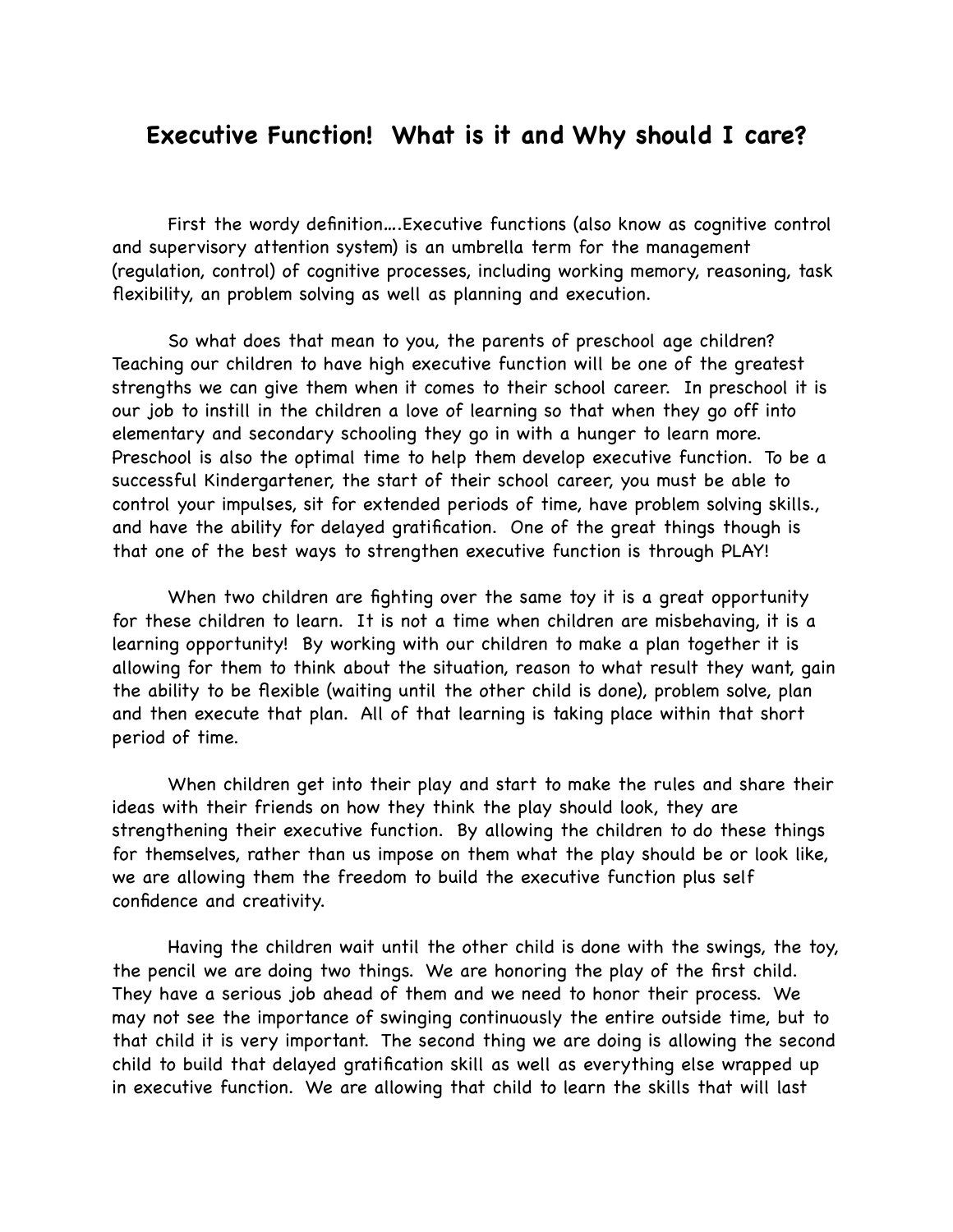## **Executive Function! What is it and Why should I care?**

 First the wordy definition….Executive functions (also know as cognitive control and supervisory attention system) is an umbrella term for the management (regulation, control) of cognitive processes, including working memory, reasoning, task flexibility, an problem solving as well as planning and execution.

 So what does that mean to you, the parents of preschool age children? Teaching our children to have high executive function will be one of the greatest strengths we can give them when it comes to their school career. In preschool it is our job to instill in the children a love of learning so that when they go off into elementary and secondary schooling they go in with a hunger to learn more. Preschool is also the optimal time to help them develop executive function. To be a successful Kindergartener, the start of their school career, you must be able to control your impulses, sit for extended periods of time, have problem solving skills., and have the ability for delayed gratification. One of the great things though is that one of the best ways to strengthen executive function is through PLAY!

 When two children are fighting over the same toy it is a great opportunity for these children to learn. It is not a time when children are misbehaving, it is a learning opportunity! By working with our children to make a plan together it is allowing for them to think about the situation, reason to what result they want, gain the ability to be flexible (waiting until the other child is done), problem solve, plan and then execute that plan. All of that learning is taking place within that short period of time.

 When children get into their play and start to make the rules and share their ideas with their friends on how they think the play should look, they are strengthening their executive function. By allowing the children to do these things for themselves, rather than us impose on them what the play should be or look like, we are allowing them the freedom to build the executive function plus self confidence and creativity.

 Having the children wait until the other child is done with the swings, the toy, the pencil we are doing two things. We are honoring the play of the first child. They have a serious job ahead of them and we need to honor their process. We may not see the importance of swinging continuously the entire outside time, but to that child it is very important. The second thing we are doing is allowing the second child to build that delayed gratification skill as well as everything else wrapped up in executive function. We are allowing that child to learn the skills that will last